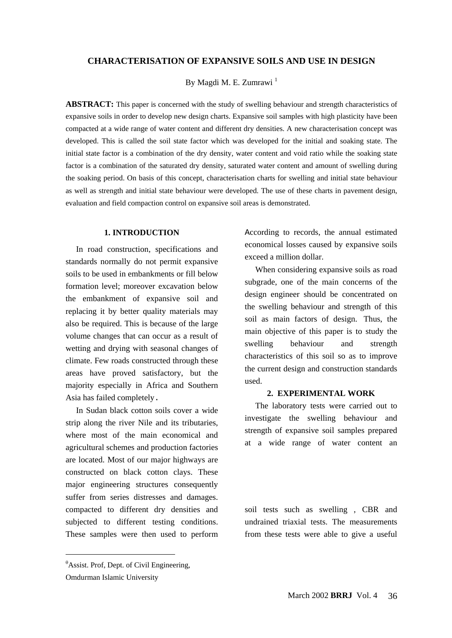#### **CHARACTERISATION OF EXPANSIVE SOILS AND USE IN DESIGN**

By Magdi M. E. Zumrawi<sup>1</sup>

**ABSTRACT:** This paper is concerned with the study of swelling behaviour and strength characteristics of expansive soils in order to develop new design charts. Expansive soil samples with high plasticity have been compacted at a wide range of water content and different dry densities. A new characterisation concept was developed. This is called the soil state factor which was developed for the initial and soaking state. The initial state factor is a combination of the dry density, water content and void ratio while the soaking state factor is a combination of the saturated dry density, saturated water content and amount of swelling during the soaking period. On basis of this concept, characterisation charts for swelling and initial state behaviour as well as strength and initial state behaviour were developed. The use of these charts in pavement design, evaluation and field compaction control on expansive soil areas is demonstrated.

#### **1. INTRODUCTION**

 In road construction, specifications and standards normally do not permit expansive soils to be used in embankments or fill below formation level; moreover excavation below the embankment of expansive soil and replacing it by better quality materials may also be required. This is because of the large volume changes that can occur as a result of wetting and drying with seasonal changes of climate. Few roads constructed through these areas have proved satisfactory, but the majority especially in Africa and Southern Asia has failed completely.

 In Sudan black cotton soils cover a wide strip along the river Nile and its tributaries, where most of the main economical and agricultural schemes and production factories are located. Most of our major highways are constructed on black cotton clays. These major engineering structures consequently suffer from series distresses and damages. compacted to different dry densities and subjected to different testing conditions. These samples were then used to perform

According to records, the annual estimated economical losses caused by expansive soils exceed a million dollar.

 When considering expansive soils as road subgrade, one of the main concerns of the design engineer should be concentrated on the swelling behaviour and strength of this soil as main factors of design. Thus, the main objective of this paper is to study the swelling behaviour and strength characteristics of this soil so as to improve the current design and construction standards used.

#### **2. EXPERIMENTAL WORK**

 The laboratory tests were carried out to investigate the swelling behaviour and strength of expansive soil samples prepared at a wide range of water content an

soil tests such as swelling , CBR and undrained triaxial tests. The measurements from these tests were able to give a useful

 $\overline{a}$ 

 $\theta$ Assist. Prof, Dept. of Civil Engineering,

Omdurman Islamic University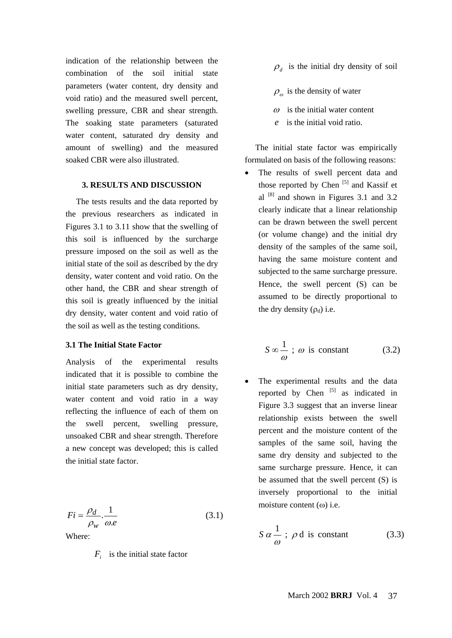indication of the relationship between the combination of the soil initial state parameters (water content, dry density and void ratio) and the measured swell percent, swelling pressure, CBR and shear strength. The soaking state parameters (saturated water content, saturated dry density and amount of swelling) and the measured soaked CBR were also illustrated.

#### **3. RESULTS AND DISCUSSION**

 The tests results and the data reported by the previous researchers as indicated in Figures 3.1 to 3.11 show that the swelling of this soil is influenced by the surcharge pressure imposed on the soil as well as the initial state of the soil as described by the dry density, water content and void ratio. On the other hand, the CBR and shear strength of this soil is greatly influenced by the initial dry density, water content and void ratio of the soil as well as the testing conditions.

#### **3.1 The Initial State Factor**

Analysis of the experimental results indicated that it is possible to combine the initial state parameters such as dry density, water content and void ratio in a way reflecting the influence of each of them on the swell percent, swelling pressure, unsoaked CBR and shear strength. Therefore a new concept was developed; this is called the initial state factor.

$$
Fi = \frac{\rho_d}{\rho_w} \cdot \frac{1}{\omega_e}
$$
 (3.1)  
Where:

*F<sub>i</sub>* is the initial state factor

- $\rho_d$  is the initial dry density of soil
- $\rho_{\omega}$  is the density of water
- $\omega$  is the initial water content
- *e* is the initial void ratio.

 The initial state factor was empirically formulated on basis of the following reasons:

 The results of swell percent data and those reported by Chen  $[5]$  and Kassif et al  $[8]$  and shown in Figures 3.1 and 3.2 clearly indicate that a linear relationship can be drawn between the swell percent (or volume change) and the initial dry density of the samples of the same soil, having the same moisture content and subjected to the same surcharge pressure. Hence, the swell percent (S) can be assumed to be directly proportional to the dry density  $(\rho_d)$  i.e.

$$
S \propto \frac{1}{\omega} \; ; \; \omega \; \text{is constant} \tag{3.2}
$$

 The experimental results and the data reported by Chen  $\begin{bmatrix} 5 \end{bmatrix}$  as indicated in Figure 3.3 suggest that an inverse linear relationship exists between the swell percent and the moisture content of the samples of the same soil, having the same dry density and subjected to the same surcharge pressure. Hence, it can be assumed that the swell percent (S) is inversely proportional to the initial moisture content  $(\omega)$  i.e.

$$
S \alpha \frac{1}{\omega} ; \rho \, \text{d} \text{ is constant} \tag{3.3}
$$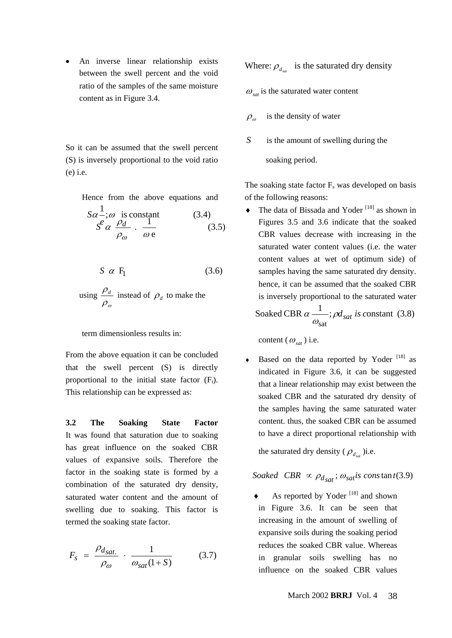An inverse linear relationship exists between the swell percent and the void ratio of the samples of the same moisture content as in Figure 3.4.

So it can be assumed that the swell percent (S) is inversely proportional to the void ratio (e) i.e.

Hence from the above equations and

$$
S\alpha \frac{1}{r}; \omega \text{ is constant} \qquad (3.4)
$$
  

$$
S^e \alpha \frac{\rho_d}{\rho_\omega} \cdot \frac{1}{\omega \text{ e}} \qquad (3.5)
$$

$$
S \alpha F_1 \tag{3.6}
$$

using 
$$
\frac{\rho_d}{\rho_\omega}
$$
 instead of  $\rho_d$  to make the

term dimensionless results in:

From the above equation it can be concluded that the swell percent (S) is directly proportional to the initial state factor  $(F_i)$ . This relationship can be expressed as:

**3.2 The Soaking State Factor**  It was found that saturation due to soaking has great influence on the soaked CBR values of expansive soils. Therefore the factor in the soaking state is formed by a combination of the saturated dry density, saturated water content and the amount of swelling due to soaking. This factor is termed the soaking state factor.

$$
F_s = \frac{\rho_{d_{sat.}}}{\rho_{\omega}} \cdot \frac{1}{\omega_{sat}(1+S)} \tag{3.7}
$$

Where:  $\rho_d$  is the saturated dry density

- $\omega_{\rm sat}$  is the saturated water content
- $\rho_{\omega}$  is the density of water
- *S* is the amount of swelling during the

soaking period.

The soaking state factor  $F_s$  was developed on basis of the following reasons:

 $\blacklozenge$  The data of Bissada and Yoder<sup>[18]</sup> as shown in Figures 3.5 and 3.6 indicate that the soaked CBR values decrease with increasing in the saturated water content values (i.e. the water content values at wet of optimum side) of samples having the same saturated dry density. hence, it can be assumed that the soaked CBR is inversely proportional to the saturated water Soaked CBR  $\alpha \stackrel{1}{\longrightarrow}$ ;  $\rho d_{sat}$  is constant (3.8)  $\alpha$ 

Soaked CBR 
$$
\alpha \frac{1}{\omega_{\text{sat}}}
$$
;  $\rho d_{sat}$  is constant (3.8)

content  $(\omega_{sat})$  i.e.

Based on the data reported by Yoder<sup>[18]</sup> as indicated in Figure 3.6, it can be suggested that a linear relationship may exist between the soaked CBR and the saturated dry density of the samples having the same saturated water content. thus, the soaked CBR can be assumed to have a direct proportional relationship with

the saturated dry density  $(\rho_d)$  )i.e.

*Soaked CBR*  $\propto \rho_{d_{sat}}$ ;  $\omega_{sat}$ *is constant*(3.9)

As reported by Yoder<sup>[18]</sup> and shown in Figure 3.6. It can be seen that increasing in the amount of swelling of expansive soils during the soaking period reduces the soaked CBR value. Whereas in granular soils swelling has no influence on the soaked CBR values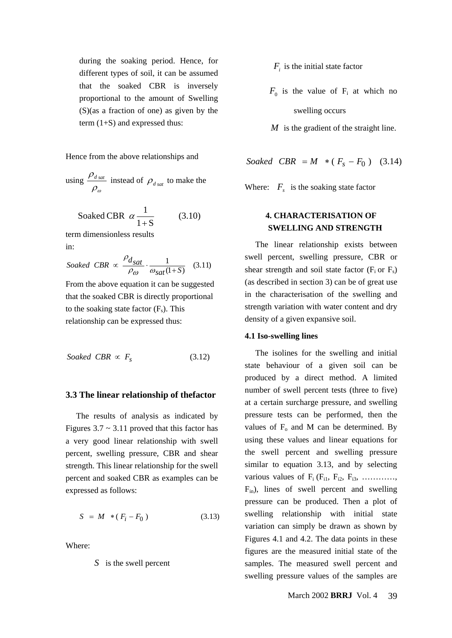during the soaking period. Hence, for different types of soil, it can be assumed that the soaked CBR is inversely proportional to the amount of Swelling (S)(as a fraction of one) as given by the term (1+S) and expressed thus:

Hence from the above relationships and

using 
$$
\frac{\rho_{d\, sat}}{\rho_{\omega}}
$$
 instead of  $\rho_{d\, sat}$  to make the

term dimensionless results Soaked CBR  $\alpha \frac{1}{1+S}$  (3.10) α

in:

$$
Soaked \hspace{0.1cm} CBR \propto \frac{\rho_{d_{\hspace{1pt} S\hspace{1pt}at}}}{\rho_{\omega}} \cdot \frac{1}{\omega_{sat}(1+S)} \hspace{0.3cm} (3.11)
$$

From the above equation it can be suggested that the soaked CBR is directly proportional to the soaking state factor  $(F_s)$ . This relationship can be expressed thus:

$$
Soaked \; CBR \propto F_s \tag{3.12}
$$

### **3.3 The linear relationship of thefactor**

 The results of analysis as indicated by Figures  $3.7 \sim 3.11$  proved that this factor has a very good linear relationship with swell percent, swelling pressure, CBR and shear strength. This linear relationship for the swell percent and soaked CBR as examples can be expressed as follows:

$$
S = M * (F_i - F_0)
$$
 (3.13)

Where:

*S* is the swell percent

- $F_i$  is the initial state factor
- $F_0$  is the value of  $F_i$  at which no swelling occurs
- *M* is the gradient of the straight line.

 $Soaked \ \ \text{CBR} = M \ \ * \ (\ F_s - F_0 \ ) \ \ (3.14)$ 

Where:  $F_s$  is the soaking state factor

# **4. CHARACTERISATION OF SWELLING AND STRENGTH**

 The linear relationship exists between swell percent, swelling pressure, CBR or shear strength and soil state factor  $(F_i$  or  $F_s$ ) (as described in section 3) can be of great use in the characterisation of the swelling and strength variation with water content and dry density of a given expansive soil.

#### **4.1 Iso-swelling lines**

 The isolines for the swelling and initial state behaviour of a given soil can be produced by a direct method. A limited number of swell percent tests (three to five) at a certain surcharge pressure, and swelling pressure tests can be performed, then the values of  $F_0$  and M can be determined. By using these values and linear equations for the swell percent and swelling pressure similar to equation 3.13, and by selecting various values of  $F_i$  ( $F_{i1}$ ,  $F_{i2}$ ,  $F_{i3}$ , .......... Fin), lines of swell percent and swelling pressure can be produced. Then a plot of swelling relationship with initial state variation can simply be drawn as shown by Figures 4.1 and 4.2. The data points in these figures are the measured initial state of the samples. The measured swell percent and swelling pressure values of the samples are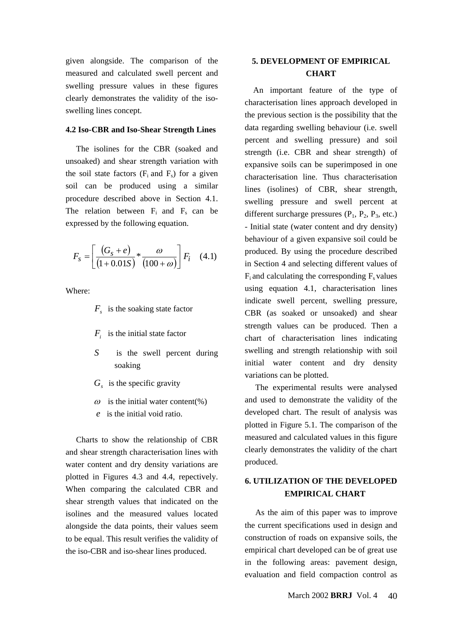given alongside. The comparison of the measured and calculated swell percent and swelling pressure values in these figures clearly demonstrates the validity of the isoswelling lines concept.

#### **4.2 Iso-CBR and Iso-Shear Strength Lines**

 The isolines for the CBR (soaked and unsoaked) and shear strength variation with the soil state factors  $(F_i$  and  $F_s)$  for a given soil can be produced using a similar procedure described above in Section 4.1. The relation between  $F_i$  and  $F_s$  can be expressed by the following equation.

$$
F_s = \left[ \frac{(G_s + e)}{(1 + 0.01S)} * \frac{\omega}{(100 + \omega)} \right] F_i \quad (4.1)
$$

Where:

- $F<sub>s</sub>$  is the soaking state factor
- *F<sub>i</sub>* is the initial state factor
- *S* is the swell percent during soaking
- *G<sub>s</sub>* is the specific gravity
- $\omega$  is the initial water content(%)
- *e* is the initial void ratio.

 Charts to show the relationship of CBR and shear strength characterisation lines with water content and dry density variations are plotted in Figures 4.3 and 4.4, repectively. When comparing the calculated CBR and shear strength values that indicated on the isolines and the measured values located alongside the data points, their values seem to be equal. This result verifies the validity of the iso-CBR and iso-shear lines produced.

# **5. DEVELOPMENT OF EMPIRICAL CHART**

 An important feature of the type of characterisation lines approach developed in the previous section is the possibility that the data regarding swelling behaviour (i.e. swell percent and swelling pressure) and soil strength (i.e. CBR and shear strength) of expansive soils can be superimposed in one characterisation line. Thus characterisation lines (isolines) of CBR, shear strength, swelling pressure and swell percent at different surcharge pressures  $(P_1, P_2, P_3, \text{ etc.})$ - Initial state (water content and dry density) behaviour of a given expansive soil could be produced. By using the procedure described in Section 4 and selecting different values of  $F_i$  and calculating the corresponding  $F_s$  values using equation 4.1, characterisation lines indicate swell percent, swelling pressure, CBR (as soaked or unsoaked) and shear strength values can be produced. Then a chart of characterisation lines indicating swelling and strength relationship with soil initial water content and dry density variations can be plotted.

 The experimental results were analysed and used to demonstrate the validity of the developed chart. The result of analysis was plotted in Figure 5.1. The comparison of the measured and calculated values in this figure clearly demonstrates the validity of the chart produced.

# **6. UTILIZATION OF THE DEVELOPED EMPIRICAL CHART**

 As the aim of this paper was to improve the current specifications used in design and construction of roads on expansive soils, the empirical chart developed can be of great use in the following areas: pavement design, evaluation and field compaction control as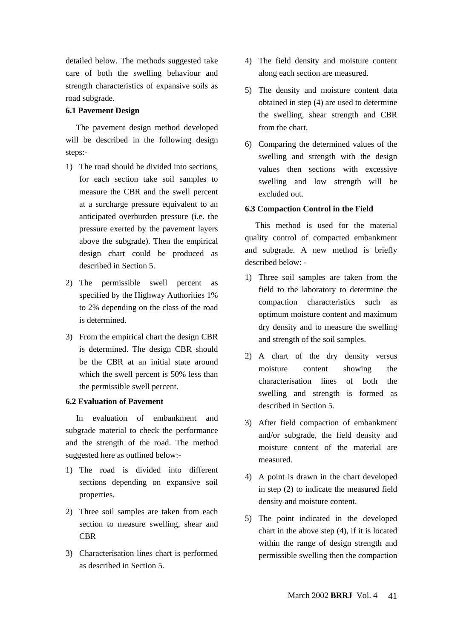detailed below. The methods suggested take care of both the swelling behaviour and strength characteristics of expansive soils as road subgrade.

### **6.1 Pavement Design**

 The pavement design method developed will be described in the following design steps:-

- 1) The road should be divided into sections, for each section take soil samples to measure the CBR and the swell percent at a surcharge pressure equivalent to an anticipated overburden pressure (i.e. the pressure exerted by the pavement layers above the subgrade). Then the empirical design chart could be produced as described in Section 5.
- 2) The permissible swell percent as specified by the Highway Authorities 1% to 2% depending on the class of the road is determined.
- 3) From the empirical chart the design CBR is determined. The design CBR should be the CBR at an initial state around which the swell percent is 50% less than the permissible swell percent.

## **6.2 Evaluation of Pavement**

 In evaluation of embankment and subgrade material to check the performance and the strength of the road. The method suggested here as outlined below:-

- 1) The road is divided into different sections depending on expansive soil properties.
- 2) Three soil samples are taken from each section to measure swelling, shear and **CBR**
- 3) Characterisation lines chart is performed as described in Section 5.
- 4) The field density and moisture content along each section are measured.
- 5) The density and moisture content data obtained in step (4) are used to determine the swelling, shear strength and CBR from the chart.
- 6) Comparing the determined values of the swelling and strength with the design values then sections with excessive swelling and low strength will be excluded out.

## **6.3 Compaction Control in the Field**

 This method is used for the material quality control of compacted embankment and subgrade. A new method is briefly described below: -

- 1) Three soil samples are taken from the field to the laboratory to determine the compaction characteristics such as optimum moisture content and maximum dry density and to measure the swelling and strength of the soil samples.
- 2) A chart of the dry density versus moisture content showing the characterisation lines of both the swelling and strength is formed as described in Section 5.
- 3) After field compaction of embankment and/or subgrade, the field density and moisture content of the material are measured.
- 4) A point is drawn in the chart developed in step (2) to indicate the measured field density and moisture content.
- 5) The point indicated in the developed chart in the above step (4), if it is located within the range of design strength and permissible swelling then the compaction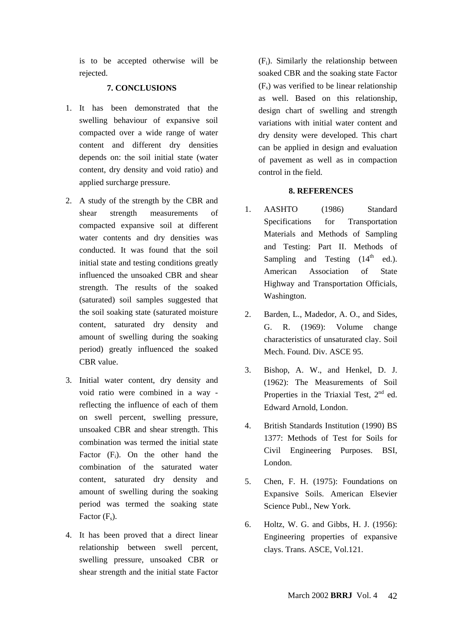is to be accepted otherwise will be rejected.

## **7. CONCLUSIONS**

- 1. It has been demonstrated that the swelling behaviour of expansive soil compacted over a wide range of water content and different dry densities depends on: the soil initial state (water content, dry density and void ratio) and applied surcharge pressure.
- 2. A study of the strength by the CBR and shear strength measurements of compacted expansive soil at different water contents and dry densities was conducted. It was found that the soil initial state and testing conditions greatly influenced the unsoaked CBR and shear strength. The results of the soaked (saturated) soil samples suggested that the soil soaking state (saturated moisture content, saturated dry density and amount of swelling during the soaking period) greatly influenced the soaked CBR value.
- 3. Initial water content, dry density and void ratio were combined in a way reflecting the influence of each of them on swell percent, swelling pressure, unsoaked CBR and shear strength. This combination was termed the initial state Factor  $(F_i)$ . On the other hand the combination of the saturated water content, saturated dry density and amount of swelling during the soaking period was termed the soaking state Factor  $(F_s)$ .
- 4. It has been proved that a direct linear relationship between swell percent, swelling pressure, unsoaked CBR or shear strength and the initial state Factor

 $(F_i)$ . Similarly the relationship between soaked CBR and the soaking state Factor  $(F<sub>s</sub>)$  was verified to be linear relationship as well. Based on this relationship, design chart of swelling and strength variations with initial water content and dry density were developed. This chart can be applied in design and evaluation of pavement as well as in compaction control in the field.

### **8. REFERENCES**

- 1. AASHTO (1986) Standard Specifications for Transportation Materials and Methods of Sampling and Testing: Part II. Methods of Sampling and Testing  $(14<sup>th</sup>$  ed.). American Association of State Highway and Transportation Officials, Washington.
- 2. Barden, L., Madedor, A. O., and Sides, G. R. (1969): Volume change characteristics of unsaturated clay. Soil Mech. Found. Div. ASCE 95.
- 3. Bishop, A. W., and Henkel, D. J. (1962): The Measurements of Soil Properties in the Triaxial Test, 2<sup>nd</sup> ed. Edward Arnold, London.
- 4. British Standards Institution (1990) BS 1377: Methods of Test for Soils for Civil Engineering Purposes. BSI, London.
- 5. Chen, F. H. (1975): Foundations on Expansive Soils. American Elsevier Science Publ., New York.
- 6. Holtz, W. G. and Gibbs, H. J. (1956): Engineering properties of expansive clays. Trans. ASCE, Vol.121.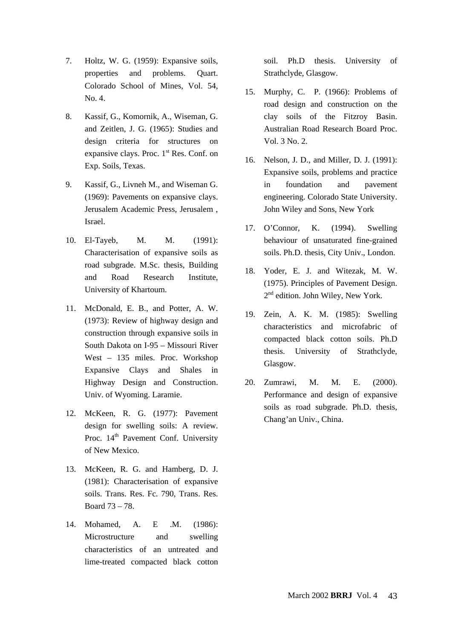- 7. Holtz, W. G. (1959): Expansive soils, properties and problems. Quart. Colorado School of Mines, Vol. 54,  $N_0$  4.
- 8. Kassif, G., Komornik, A., Wiseman, G. and Zeitlen, J. G. (1965): Studies and design criteria for structures on expansive clays. Proc.  $1<sup>st</sup>$  Res. Conf. on Exp. Soils, Texas.
- 9. Kassif, G., Livneh M., and Wiseman G. (1969): Pavements on expansive clays. Jerusalem Academic Press, Jerusalem , Israel.
- 10. El-Tayeb, M. M. (1991): Characterisation of expansive soils as road subgrade. M.Sc. thesis, Building and Road Research Institute, University of Khartoum.
- 11. McDonald, E. B., and Potter, A. W. (1973): Review of highway design and construction through expansive soils in South Dakota on I-95 – Missouri River West – 135 miles. Proc. Workshop Expansive Clays and Shales in Highway Design and Construction. Univ. of Wyoming. Laramie.
- 12. McKeen, R. G. (1977): Pavement design for swelling soils: A review. Proc. 14<sup>th</sup> Pavement Conf. University of New Mexico.
- 13. McKeen, R. G. and Hamberg, D. J. (1981): Characterisation of expansive soils. Trans. Res. Fc. 790, Trans. Res. Board 73 – 78.
- 14. Mohamed, A. E .M. (1986): Microstructure and swelling characteristics of an untreated and lime-treated compacted black cotton

soil. Ph.D thesis. University of Strathclyde, Glasgow.

- 15. Murphy, C. P. (1966): Problems of road design and construction on the clay soils of the Fitzroy Basin. Australian Road Research Board Proc. Vol. 3 No. 2.
- 16. Nelson, J. D., and Miller, D. J. (1991): Expansive soils, problems and practice in foundation and pavement engineering. Colorado State University. John Wiley and Sons, New York
- 17. O'Connor, K. (1994). Swelling behaviour of unsaturated fine-grained soils. Ph.D. thesis, City Univ., London.
- 18. Yoder, E. J. and Witezak, M. W. (1975). Principles of Pavement Design. 2<sup>nd</sup> edition. John Wiley, New York.
- 19. Zein, A. K. M. (1985): Swelling characteristics and microfabric of compacted black cotton soils. Ph.D thesis. University of Strathclyde, Glasgow.
- 20. Zumrawi, M. M. E. (2000). Performance and design of expansive soils as road subgrade. Ph.D. thesis, Chang'an Univ., China.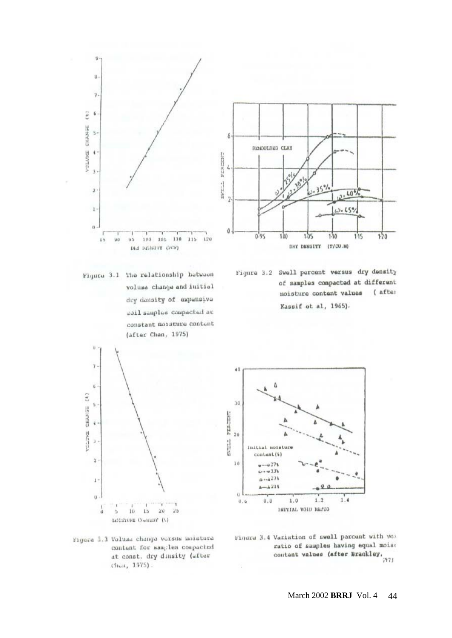

Figura 3.1 The relationship between volume change and initial dry dansity of expansive soil samples compacted at constant moisture content (after Chan, 1975)



Figure 3.2 Swell percent versus dry density of samples compacted at different moisture content values ( after Kassif ot al, 1965).



Figure 3.3 Volume change vorsus moisture content for samples compacted at const. dry dinsity (after Chan, 1975).



Finara 3.4 Variation of swell percent with vor ratio of samples having equal moise contant values (after Brackley,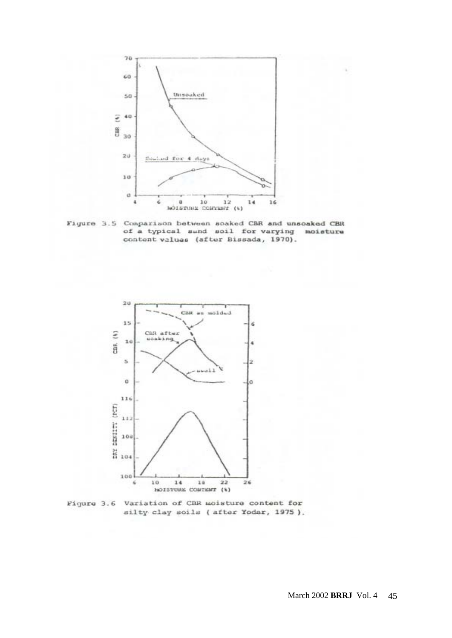

Figure 3.5 Comparison between soaked CBR and unsoaked CBR of a typical sund soil for varying moisture content values (after Bissada, 1970).



Figure 3.6 Variation of CBR moisture content for silty clay soils (after Yodar, 1975).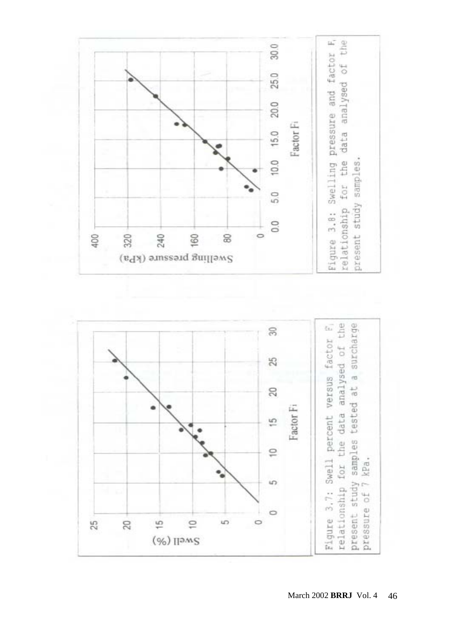

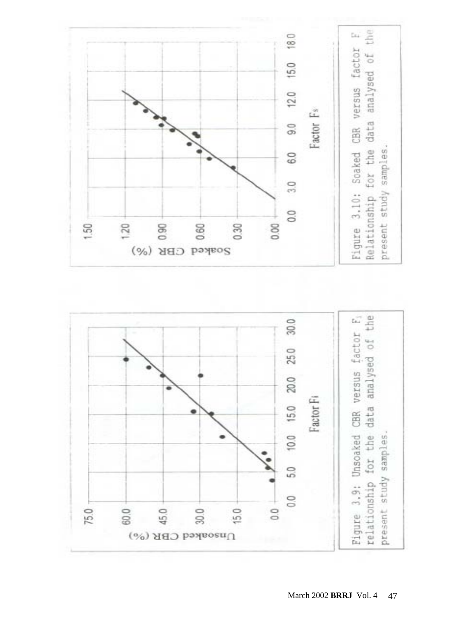



March 2002 **BRRJ** Vol. 4 47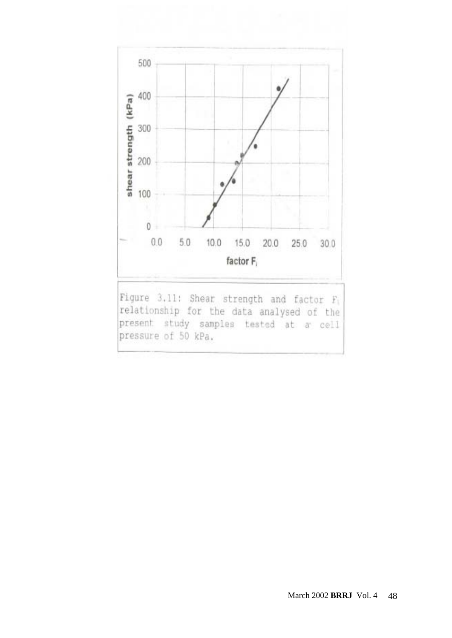

Figure 3.11: Shear strength and factor F1 relationship for the data analysed of the present study samples tested at a cell pressure of 50 kPa.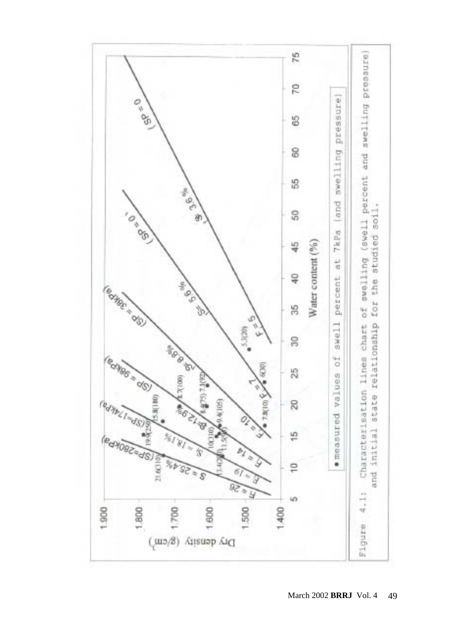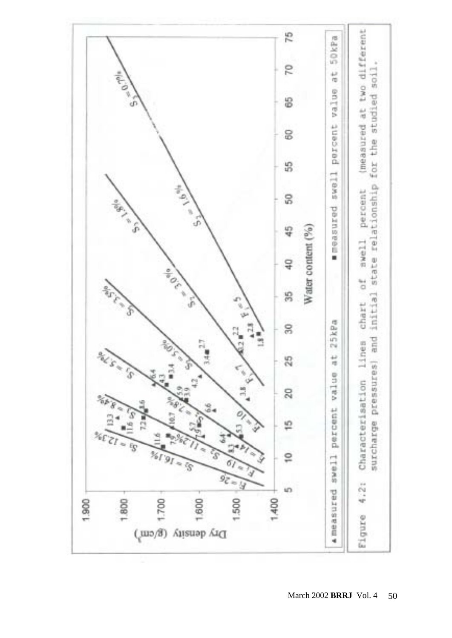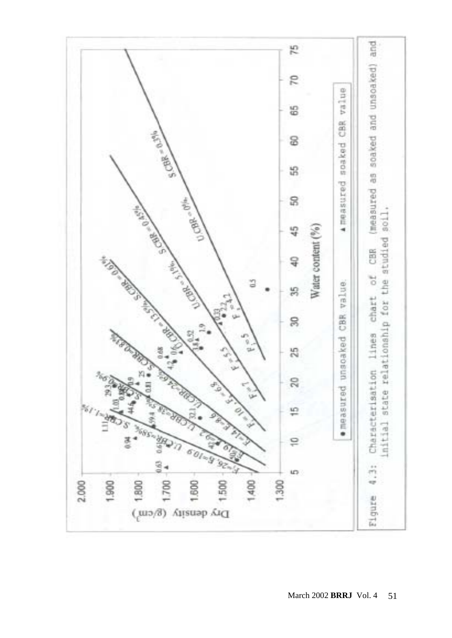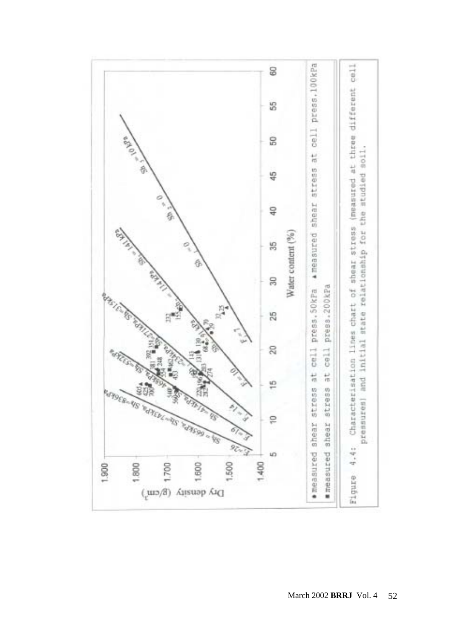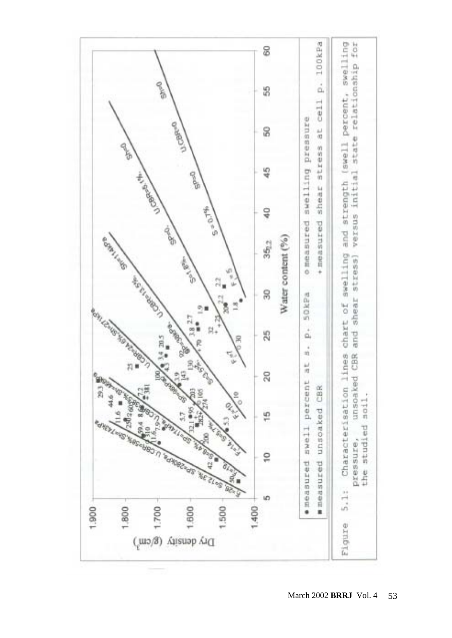